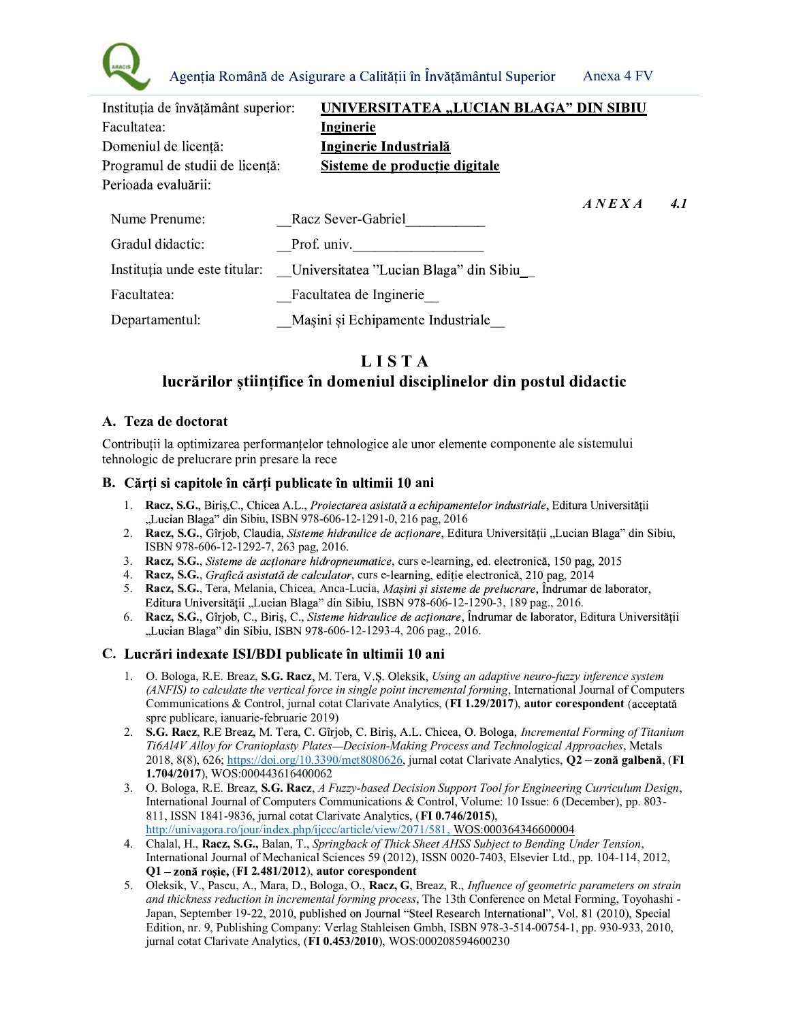

| Instituția de învățământ superior: | UNIVERSITATEA "LUCIAN BLAGA" DIN SIBIU |                                   |     |
|------------------------------------|----------------------------------------|-----------------------------------|-----|
| Facultatea:                        | Inginerie                              |                                   |     |
| Domeniul de licență:               | <u>Inginerie Industrială</u>           |                                   |     |
| Programul de studii de licență:    | Sisteme de producție digitale          |                                   |     |
| Perioada evaluării:                |                                        |                                   |     |
|                                    |                                        | $\overline{A}$ NEX $\overline{A}$ | 4.1 |
| Nume Prenume:                      | Racz Sever-Gabriel                     |                                   |     |
| Gradul didactic:                   | Prof. univ.                            |                                   |     |
| Instituția unde este titular:      | Universitatea "Lucian Blaga" din Sibiu |                                   |     |
| Facultatea:                        | Facultatea de Inginerie                |                                   |     |
| Departamentul:                     | Masini și Echipamente Industriale      |                                   |     |

# L I S T A

## lucrărilor științifice în domeniul disciplinelor din postul didactic

#### A. Teza de doctorat

Contributii la optimizarea performantelor tehnologice ale unor elemente componente ale sistemului tehnologic de prelucrare prin presare la rece

#### B. Cărți și capitole în cărți publicate în ultimii 10 ani

- 1. Racz, S.G., Biris,C., Chicea A.L., Proiectarea asistată a echipamentelor industriale, Editura Universitătii "Lucian Blaga" din Sibiu, ISBN 978-606-12-1291-0, 216 pag, 2016
- 2. Racz, S.G., Gîrjob, Claudia, Sisteme hidraulice de acționare, Editura Universității "Lucian Blaga" din Sibiu, ISBN 978-606-12-1292-7, 263 pag, 2016.
- 3. Racz, S.G., Sisteme de actionare hidropneumatice, curs e-learning, ed. electronică, 150 pag, 2015
- 4. Racz, S.G., Grafică asistată de calculator, curs e-learning, ediție electronică, 210 pag, 2014
- 5. Racz, S.G., Tera, Melania, Chicea, Anca-Lucia, *Masini și sisteme de prelucrare*, Îndrumar de laborator, Editura Universității "Lucian Blaga" din Sibiu, ISBN 978-606-12-1290-3, 189 pag., 2016.
- 6. Racz, S.G., Gîrjob, C., Biriș, C., Sisteme hidraulice de acționare, Îndrumar de laborator, Editura Universității "Lucian Blaga" din Sibiu, ISBN 978-606-12-1293-4, 206 pag., 2016.

### C. Lucrări indexate ISI/BDI publicate în ultimii 10 ani

- 1. O. Bologa, R.E. Breaz, S.G. Racz, M. Tera, V.S. Oleksik, Using an adaptive neuro-fuzzy inference system (ANFIS) to calculate the vertical force in single point incremental forming, International Journal of Computers Communications & Control, jurnal cotat Clarivate Analytics, (FI 1.29/2017), autor corespondent (acceptată spre publicare, ianuarie-februarie 2019)
- 2. S.G. Racz, R.E Breaz, M. Tera, C. Gîrjob, C. Biriş, A.L. Chicea, O. Bologa, Incremental Forming of Titanium Ti6Al4V Alloy for Cranioplasty Plates—Decision-Making Process and Technological Approaches, Metals 2018, 8(8), 626; https://doi.org/10.3390/met8080626, jurnal cotat Clarivate Analytics,  $Q2$  – zonă galbenă, (FI 1.704/2017), WOS:000443616400062
- 3. O. Bologa, R.E. Breaz, S.G. Racz, A Fuzzy-based Decision Support Tool for Engineering Curriculum Design, International Journal of Computers Communications & Control, Volume: 10 Issue: 6 (December), pp. 803- 811, ISSN 1841-9836, jurnal cotat Clarivate Analytics, (FI 0.746/2015), http://univagora.ro/jour/index.php/ijccc/article/view/2071/581, WOS:000364346600004
- 4. Chalal, H., Racz, S.G., Balan, T., Springback of Thick Sheet AHSS Subject to Bending Under Tension, International Journal of Mechanical Sciences 59 (2012), ISSN 0020-7403, Elsevier Ltd., pp. 104-114, 2012,  $Q1 - z$ onă roșie, (FI 2.481/2012), autor corespondent
- 5. Oleksik, V., Pascu, A., Mara, D., Bologa, O., Racz, G., Breaz, R., Influence of geometric parameters on strain and thickness reduction in incremental forming process, The 13th Conference on Metal Forming, Toyohashi - Japan, September 19-22, 2010, published on Journal "Steel Research International", Vol. 81 (2010), Special Edition, nr. 9, Publishing Company: Verlag Stahleisen Gmbh, ISBN 978-3-514-00754-1, pp. 930-933, 2010, jurnal cotat Clarivate Analytics, (FI 0.453/2010), WOS:000208594600230